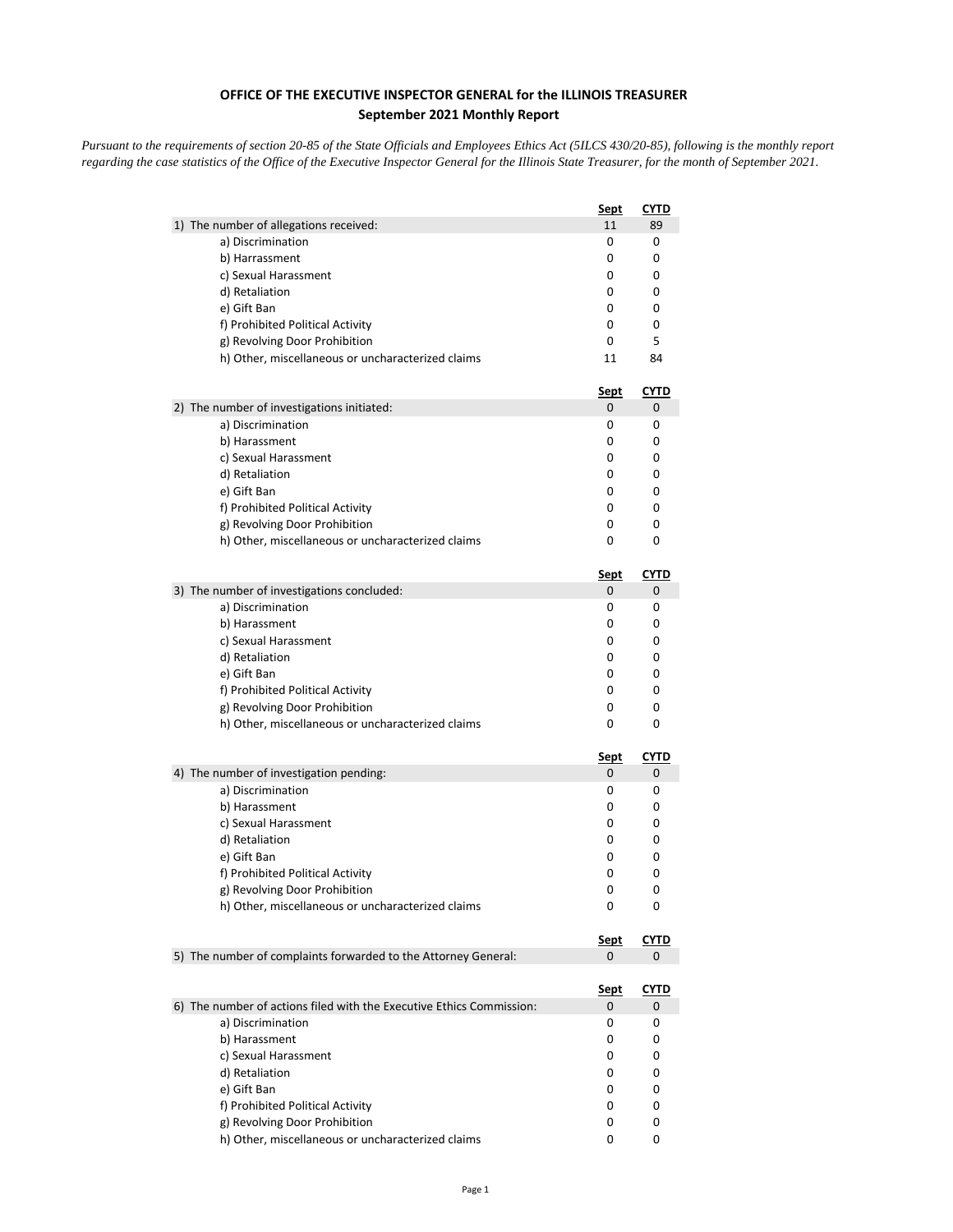## **OFFICE OF THE EXECUTIVE INSPECTOR GENERAL for the ILLINOIS TREASURER September 2021 Monthly Report**

*Pursuant to the requirements of section 20-85 of the State Officials and Employees Ethics Act (5ILCS 430/20-85), following is the monthly report regarding the case statistics of the Office of the Executive Inspector General for the Illinois State Treasurer, for the month of September 2021.* 

|                                                                      | <u>Sept</u> | <b>CYTD</b> |
|----------------------------------------------------------------------|-------------|-------------|
| 1) The number of allegations received:                               | 11          | 89          |
| a) Discrimination                                                    | 0           | 0           |
| b) Harrassment                                                       | 0           | 0           |
| c) Sexual Harassment                                                 | 0           | 0           |
| d) Retaliation                                                       | 0           | 0           |
| e) Gift Ban                                                          | 0           | 0           |
| f) Prohibited Political Activity                                     | 0           | 0           |
| g) Revolving Door Prohibition                                        | 0           | 5           |
| h) Other, miscellaneous or uncharacterized claims                    | 11          | 84          |
|                                                                      | <u>Sept</u> | <u>CYTD</u> |
| 2) The number of investigations initiated:                           | 0           | 0           |
| a) Discrimination                                                    | 0           | 0           |
| b) Harassment                                                        | 0           | 0           |
| c) Sexual Harassment                                                 | 0           | 0           |
| d) Retaliation                                                       | 0           | 0           |
| e) Gift Ban                                                          | 0           | 0           |
| f) Prohibited Political Activity                                     | 0           | 0           |
| g) Revolving Door Prohibition                                        | 0           | 0           |
| h) Other, miscellaneous or uncharacterized claims                    | 0           | 0           |
|                                                                      | <u>Sept</u> | <b>CYTD</b> |
| 3) The number of investigations concluded:                           | 0           | 0           |
| a) Discrimination                                                    | 0           | 0           |
| b) Harassment                                                        | 0           | 0           |
| c) Sexual Harassment                                                 | 0           | 0           |
| d) Retaliation                                                       | 0           | 0           |
| e) Gift Ban                                                          | 0           | 0           |
| f) Prohibited Political Activity                                     | 0           | 0           |
| g) Revolving Door Prohibition                                        | 0           | 0           |
| h) Other, miscellaneous or uncharacterized claims                    | 0           | 0           |
|                                                                      | <u>Sept</u> | <b>CYTD</b> |
| 4) The number of investigation pending:                              | 0           | 0           |
| a) Discrimination                                                    | 0           | 0           |
| b) Harassment                                                        | 0           | 0           |
| c) Sexual Harassment                                                 | 0           | 0           |
| d) Retaliation                                                       | 0           | 0           |
| e) Gift Ban                                                          | 0           | 0           |
| f) Prohibited Political Activity                                     | 0           | 0           |
| g) Revolving Door Prohibition                                        | 0           | 0           |
| h) Other, miscellaneous or uncharacterized claims                    | 0           | 0           |
|                                                                      | <u>Sept</u> | <b>CYTD</b> |
| 5) The number of complaints forwarded to the Attorney General:       | 0           | 0           |
|                                                                      | <u>Sept</u> | <u>CYTD</u> |
| 6) The number of actions filed with the Executive Ethics Commission: | 0           | 0           |
| a) Discrimination                                                    | 0           | 0           |
| b) Harassment                                                        | 0           | 0           |
| c) Sexual Harassment                                                 | 0           | 0           |
| d) Retaliation                                                       | 0           | 0           |
| e) Gift Ban                                                          | 0           | 0           |
| f) Prohibited Political Activity                                     | 0           | 0           |
| g) Revolving Door Prohibition                                        | 0           | 0           |
| h) Other, miscellaneous or uncharacterized claims                    | 0           | 0           |